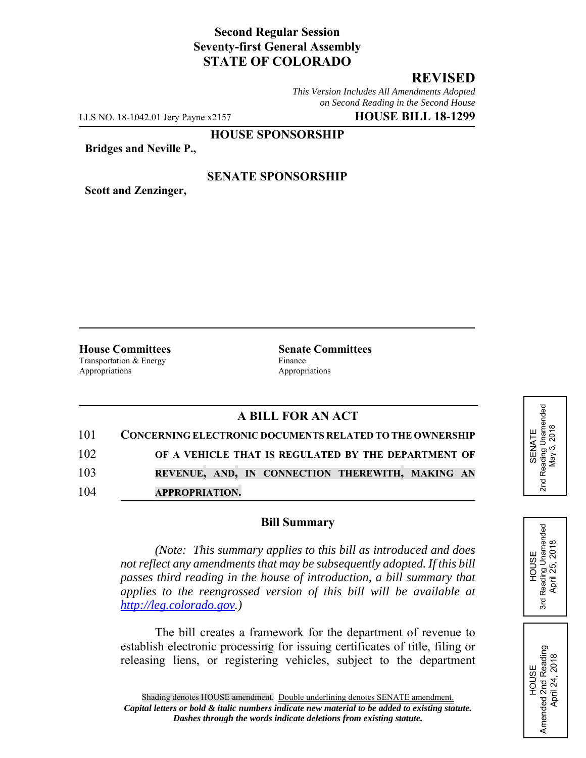# **Second Regular Session Seventy-first General Assembly STATE OF COLORADO**

# **REVISED**

*This Version Includes All Amendments Adopted on Second Reading in the Second House*

LLS NO. 18-1042.01 Jery Payne x2157 **HOUSE BILL 18-1299**

## **HOUSE SPONSORSHIP**

**Bridges and Neville P.,**

## **SENATE SPONSORSHIP**

**Scott and Zenzinger,**

Transportation & Energy Finance Appropriations Appropriations

**House Committees Senate Committees** 

## **A BILL FOR AN ACT**

| 101 | CONCERNING ELECTRONIC DOCUMENTS RELATED TO THE OWNERSHIP |
|-----|----------------------------------------------------------|
| 102 | OF A VEHICLE THAT IS REGULATED BY THE DEPARTMENT OF      |
| 103 | REVENUE, AND, IN CONNECTION THEREWITH, MAKING AN         |
| 104 | <b>APPROPRIATION.</b>                                    |

#### **Bill Summary**

*(Note: This summary applies to this bill as introduced and does not reflect any amendments that may be subsequently adopted. If this bill passes third reading in the house of introduction, a bill summary that applies to the reengrossed version of this bill will be available at http://leg.colorado.gov.)*

The bill creates a framework for the department of revenue to establish electronic processing for issuing certificates of title, filing or releasing liens, or registering vehicles, subject to the department



HOUSE<br>Amended 2nd Reading<br>April 24, 2018 Amended 2nd Reading April 24, 2018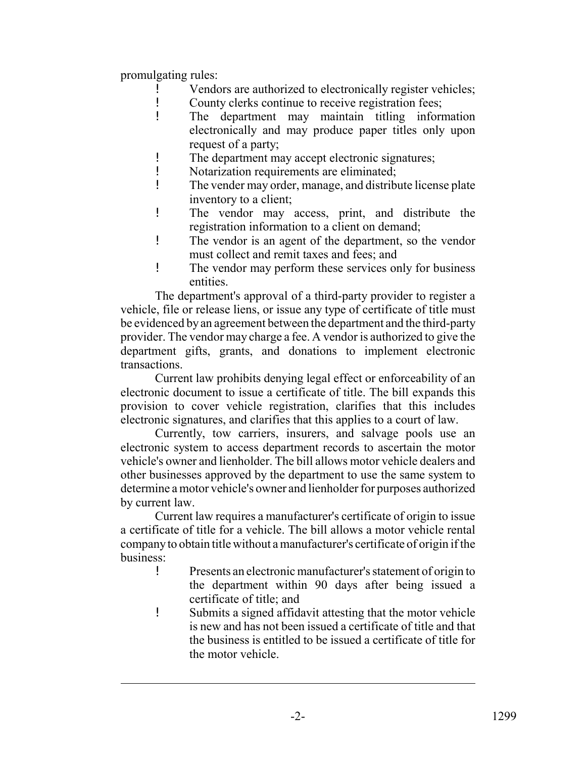promulgating rules:

- Vendors are authorized to electronically register vehicles;
- ! County clerks continue to receive registration fees;
- ! The department may maintain titling information electronically and may produce paper titles only upon request of a party;
- ! The department may accept electronic signatures;
- ! Notarization requirements are eliminated;
- ! The vender may order, manage, and distribute license plate inventory to a client;
- ! The vendor may access, print, and distribute the registration information to a client on demand;
- ! The vendor is an agent of the department, so the vendor must collect and remit taxes and fees; and
- ! The vendor may perform these services only for business entities.

The department's approval of a third-party provider to register a vehicle, file or release liens, or issue any type of certificate of title must be evidenced by an agreement between the department and the third-party provider. The vendor may charge a fee. A vendor is authorized to give the department gifts, grants, and donations to implement electronic transactions.

Current law prohibits denying legal effect or enforceability of an electronic document to issue a certificate of title. The bill expands this provision to cover vehicle registration, clarifies that this includes electronic signatures, and clarifies that this applies to a court of law.

Currently, tow carriers, insurers, and salvage pools use an electronic system to access department records to ascertain the motor vehicle's owner and lienholder. The bill allows motor vehicle dealers and other businesses approved by the department to use the same system to determine a motor vehicle's owner and lienholder for purposes authorized by current law.

Current law requires a manufacturer's certificate of origin to issue a certificate of title for a vehicle. The bill allows a motor vehicle rental company to obtain title without a manufacturer's certificate of origin if the business:

- ! Presents an electronic manufacturer's statement of origin to the department within 90 days after being issued a certificate of title; and
- ! Submits a signed affidavit attesting that the motor vehicle is new and has not been issued a certificate of title and that the business is entitled to be issued a certificate of title for the motor vehicle.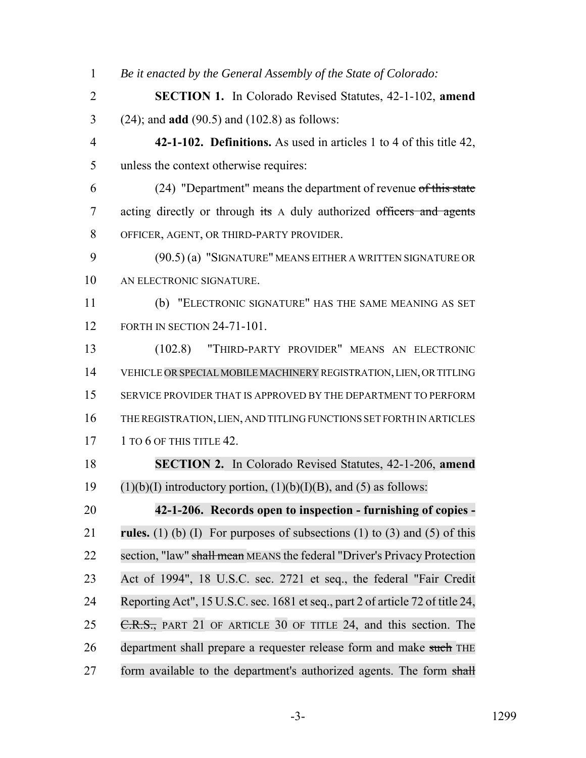*Be it enacted by the General Assembly of the State of Colorado:* **SECTION 1.** In Colorado Revised Statutes, 42-1-102, **amend** (24); and **add** (90.5) and (102.8) as follows: **42-1-102. Definitions.** As used in articles 1 to 4 of this title 42, unless the context otherwise requires: (24) "Department" means the department of revenue of this state 7 acting directly or through its A duly authorized officers and agents OFFICER, AGENT, OR THIRD-PARTY PROVIDER. (90.5) (a) "SIGNATURE" MEANS EITHER A WRITTEN SIGNATURE OR AN ELECTRONIC SIGNATURE. (b) "ELECTRONIC SIGNATURE" HAS THE SAME MEANING AS SET FORTH IN SECTION 24-71-101. (102.8) "THIRD-PARTY PROVIDER" MEANS AN ELECTRONIC VEHICLE ORSPECIALMOBILE MACHINERY REGISTRATION, LIEN, OR TITLING SERVICE PROVIDER THAT IS APPROVED BY THE DEPARTMENT TO PERFORM THE REGISTRATION, LIEN, AND TITLING FUNCTIONS SET FORTH IN ARTICLES 17 1 TO 6 OF THIS TITLE 42. **SECTION 2.** In Colorado Revised Statutes, 42-1-206, **amend** 19 (1)(b)(I) introductory portion,  $(1)(b)(I)(B)$ , and  $(5)$  as follows: **42-1-206. Records open to inspection - furnishing of copies - rules.** (1) (b) (I) For purposes of subsections (1) to (3) and (5) of this 22 section, "law" shall mean MEANS the federal "Driver's Privacy Protection Act of 1994", 18 U.S.C. sec. 2721 et seq., the federal "Fair Credit Reporting Act", 15 U.S.C.sec. 1681 etseq., part 2 of article 72 of title 24, 25 C.R.S., PART 21 OF ARTICLE 30 OF TITLE 24, and this section. The 26 department shall prepare a requester release form and make such THE 27 form available to the department's authorized agents. The form shall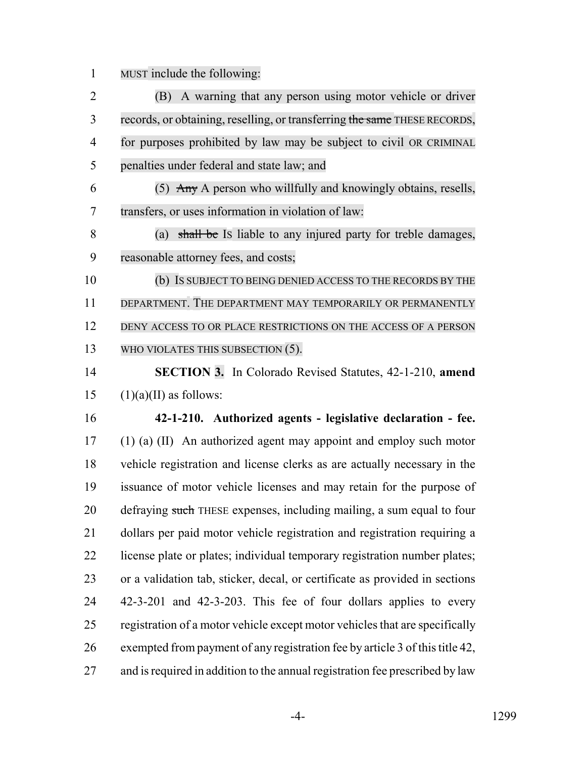MUST include the following:

 (B) A warning that any person using motor vehicle or driver 3 records, or obtaining, reselling, or transferring the same THESE RECORDS, for purposes prohibited by law may be subject to civil OR CRIMINAL penalties under federal and state law; and (5) Any A person who willfully and knowingly obtains, resells, transfers, or uses information in violation of law: (a) shall be IS liable to any injured party for treble damages, reasonable attorney fees, and costs; (b) IS SUBJECT TO BEING DENIED ACCESS TO THE RECORDS BY THE DEPARTMENT. THE DEPARTMENT MAY TEMPORARILY OR PERMANENTLY 12 DENY ACCESS TO OR PLACE RESTRICTIONS ON THE ACCESS OF A PERSON WHO VIOLATES THIS SUBSECTION (5). **SECTION 3.** In Colorado Revised Statutes, 42-1-210, **amend**  $(1)(a)(II)$  as follows: **42-1-210. Authorized agents - legislative declaration - fee.** (1) (a) (II) An authorized agent may appoint and employ such motor vehicle registration and license clerks as are actually necessary in the issuance of motor vehicle licenses and may retain for the purpose of 20 defraying such THESE expenses, including mailing, a sum equal to four dollars per paid motor vehicle registration and registration requiring a license plate or plates; individual temporary registration number plates; or a validation tab, sticker, decal, or certificate as provided in sections 42-3-201 and 42-3-203. This fee of four dollars applies to every registration of a motor vehicle except motor vehicles that are specifically exempted from payment of any registration fee by article 3 of this title 42, 27 and is required in addition to the annual registration fee prescribed by law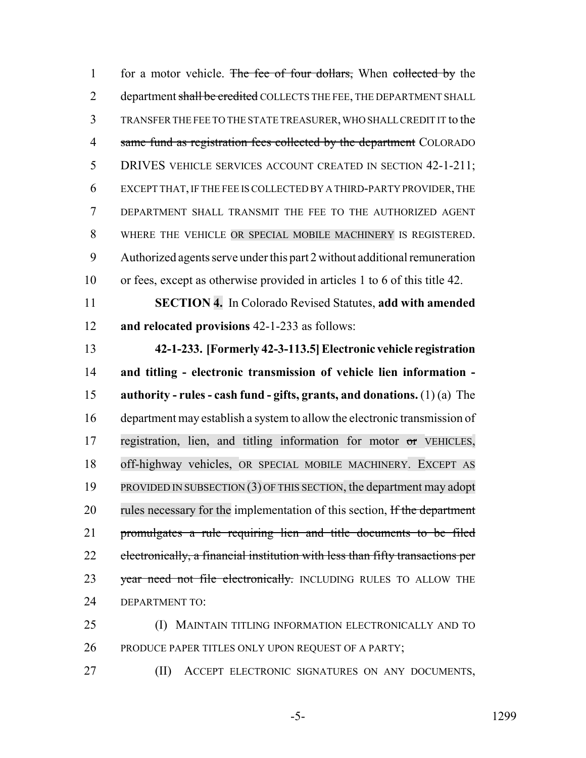1 for a motor vehicle. The fee of four dollars, When collected by the 2 department shall be credited COLLECTS THE FEE, THE DEPARTMENT SHALL TRANSFER THE FEE TO THE STATE TREASURER, WHO SHALL CREDIT IT to the 4 same fund as registration fees collected by the department COLORADO 5 DRIVES VEHICLE SERVICES ACCOUNT CREATED IN SECTION 42-1-211; EXCEPT THAT, IF THE FEE IS COLLECTED BY A THIRD-PARTY PROVIDER, THE DEPARTMENT SHALL TRANSMIT THE FEE TO THE AUTHORIZED AGENT WHERE THE VEHICLE OR SPECIAL MOBILE MACHINERY IS REGISTERED. Authorized agents serve under this part 2 without additional remuneration or fees, except as otherwise provided in articles 1 to 6 of this title 42.

 **SECTION 4.** In Colorado Revised Statutes, **add with amended and relocated provisions** 42-1-233 as follows:

 **42-1-233. [Formerly 42-3-113.5] Electronic vehicle registration and titling - electronic transmission of vehicle lien information - authority - rules - cash fund - gifts, grants, and donations.** (1) (a) The department may establish a system to allow the electronic transmission of 17 registration, lien, and titling information for motor or VEHICLES, off-highway vehicles, OR SPECIAL MOBILE MACHINERY. EXCEPT AS PROVIDED IN SUBSECTION (3) OF THIS SECTION, the department may adopt 20 rules necessary for the implementation of this section, If the department promulgates a rule requiring lien and title documents to be filed electronically, a financial institution with less than fifty transactions per 23 year need not file electronically. INCLUDING RULES TO ALLOW THE DEPARTMENT TO:

 (I) MAINTAIN TITLING INFORMATION ELECTRONICALLY AND TO 26 PRODUCE PAPER TITLES ONLY UPON REQUEST OF A PARTY;

(II) ACCEPT ELECTRONIC SIGNATURES ON ANY DOCUMENTS,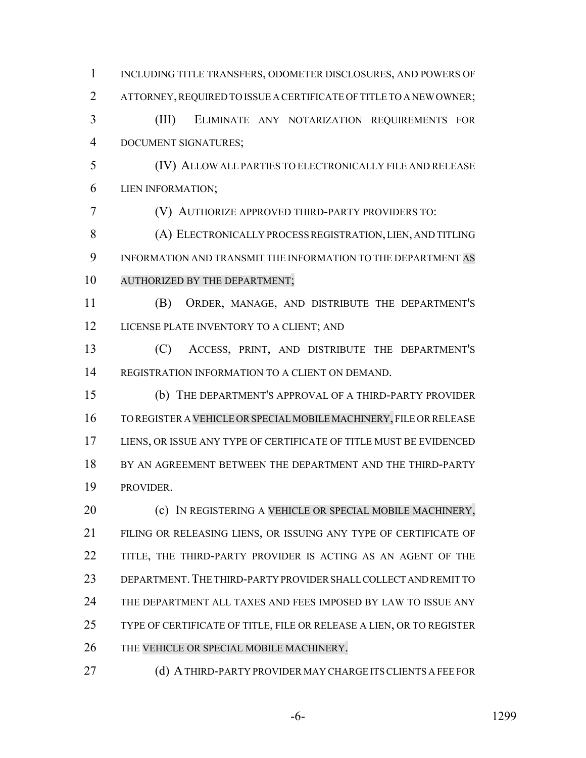INCLUDING TITLE TRANSFERS, ODOMETER DISCLOSURES, AND POWERS OF ATTORNEY, REQUIRED TO ISSUE A CERTIFICATE OF TITLE TO A NEW OWNER; (III) ELIMINATE ANY NOTARIZATION REQUIREMENTS FOR DOCUMENT SIGNATURES; (IV) ALLOW ALL PARTIES TO ELECTRONICALLY FILE AND RELEASE LIEN INFORMATION; (V) AUTHORIZE APPROVED THIRD-PARTY PROVIDERS TO: (A) ELECTRONICALLY PROCESS REGISTRATION, LIEN, AND TITLING INFORMATION AND TRANSMIT THE INFORMATION TO THE DEPARTMENT AS AUTHORIZED BY THE DEPARTMENT; (B) ORDER, MANAGE, AND DISTRIBUTE THE DEPARTMENT'S LICENSE PLATE INVENTORY TO A CLIENT; AND (C) ACCESS, PRINT, AND DISTRIBUTE THE DEPARTMENT'S REGISTRATION INFORMATION TO A CLIENT ON DEMAND. (b) THE DEPARTMENT'S APPROVAL OF A THIRD-PARTY PROVIDER TO REGISTER A VEHICLE ORSPECIALMOBILE MACHINERY, FILE OR RELEASE 17 LIENS, OR ISSUE ANY TYPE OF CERTIFICATE OF TITLE MUST BE EVIDENCED BY AN AGREEMENT BETWEEN THE DEPARTMENT AND THE THIRD-PARTY PROVIDER. **(c)** IN REGISTERING A VEHICLE OR SPECIAL MOBILE MACHINERY, FILING OR RELEASING LIENS, OR ISSUING ANY TYPE OF CERTIFICATE OF 22 TITLE, THE THIRD-PARTY PROVIDER IS ACTING AS AN AGENT OF THE 23 DEPARTMENT. THE THIRD-PARTY PROVIDER SHALL COLLECT AND REMIT TO THE DEPARTMENT ALL TAXES AND FEES IMPOSED BY LAW TO ISSUE ANY TYPE OF CERTIFICATE OF TITLE, FILE OR RELEASE A LIEN, OR TO REGISTER THE VEHICLE OR SPECIAL MOBILE MACHINERY.

**(d) A THIRD-PARTY PROVIDER MAY CHARGE ITS CLIENTS A FEE FOR** 

-6- 1299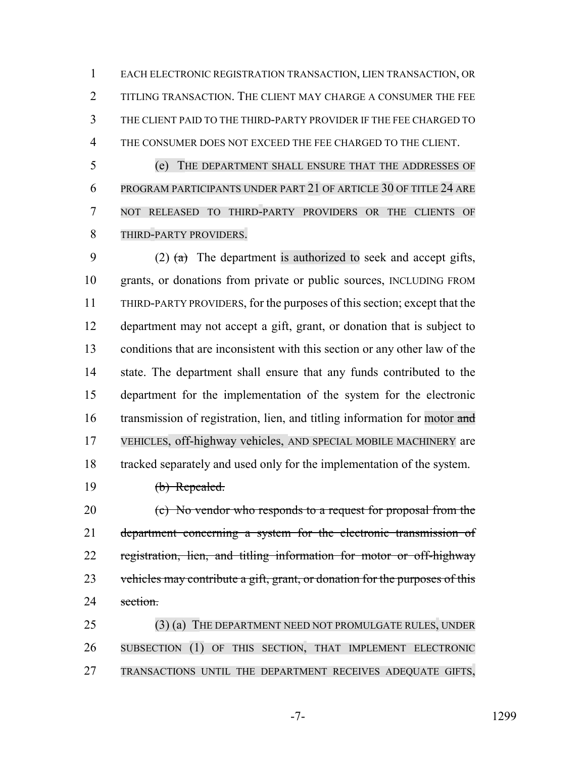EACH ELECTRONIC REGISTRATION TRANSACTION, LIEN TRANSACTION, OR 2 TITLING TRANSACTION. THE CLIENT MAY CHARGE A CONSUMER THE FEE THE CLIENT PAID TO THE THIRD-PARTY PROVIDER IF THE FEE CHARGED TO THE CONSUMER DOES NOT EXCEED THE FEE CHARGED TO THE CLIENT.

 (e) THE DEPARTMENT SHALL ENSURE THAT THE ADDRESSES OF PROGRAM PARTICIPANTS UNDER PART 21 OF ARTICLE 30 OF TITLE 24 ARE NOT RELEASED TO THIRD-PARTY PROVIDERS OR THE CLIENTS OF THIRD-PARTY PROVIDERS.

9 (2)  $\left(\frac{a}{b}\right)$  The department is authorized to seek and accept gifts, grants, or donations from private or public sources, INCLUDING FROM THIRD-PARTY PROVIDERS, for the purposes of this section; except that the department may not accept a gift, grant, or donation that is subject to conditions that are inconsistent with this section or any other law of the state. The department shall ensure that any funds contributed to the department for the implementation of the system for the electronic 16 transmission of registration, lien, and titling information for motor and VEHICLES, off-highway vehicles, AND SPECIAL MOBILE MACHINERY are tracked separately and used only for the implementation of the system. (b) Repealed.

 (c) No vendor who responds to a request for proposal from the department concerning a system for the electronic transmission of registration, lien, and titling information for motor or off-highway 23 vehicles may contribute a gift, grant, or donation for the purposes of this 24 section

 (3) (a) THE DEPARTMENT NEED NOT PROMULGATE RULES, UNDER SUBSECTION (1) OF THIS SECTION, THAT IMPLEMENT ELECTRONIC TRANSACTIONS UNTIL THE DEPARTMENT RECEIVES ADEQUATE GIFTS,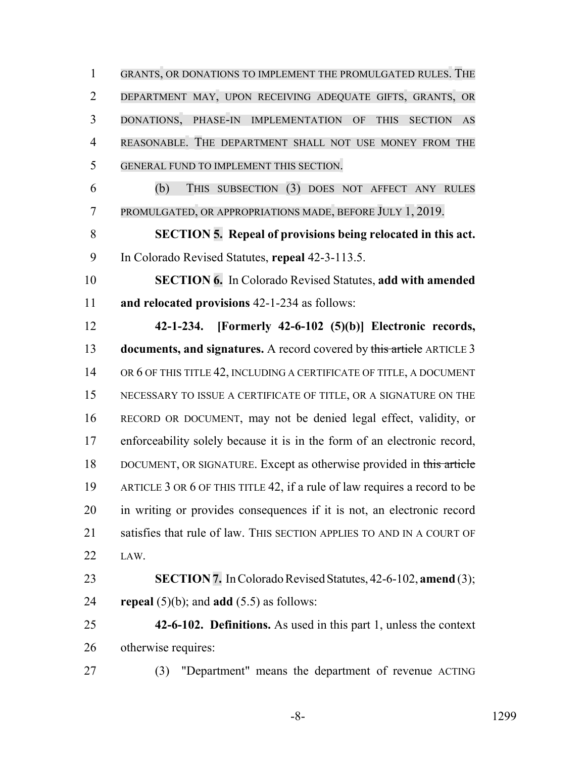GRANTS, OR DONATIONS TO IMPLEMENT THE PROMULGATED RULES. THE DEPARTMENT MAY, UPON RECEIVING ADEQUATE GIFTS, GRANTS, OR DONATIONS, PHASE-IN IMPLEMENTATION OF THIS SECTION AS REASONABLE. THE DEPARTMENT SHALL NOT USE MONEY FROM THE GENERAL FUND TO IMPLEMENT THIS SECTION. (b) THIS SUBSECTION (3) DOES NOT AFFECT ANY RULES PROMULGATED, OR APPROPRIATIONS MADE, BEFORE JULY 1, 2019. **SECTION 5. Repeal of provisions being relocated in this act.** In Colorado Revised Statutes, **repeal** 42-3-113.5. **SECTION 6.** In Colorado Revised Statutes, **add with amended and relocated provisions** 42-1-234 as follows: **42-1-234. [Formerly 42-6-102 (5)(b)] Electronic records, documents, and signatures.** A record covered by this article ARTICLE 3 14 OR 6 OF THIS TITLE 42, INCLUDING A CERTIFICATE OF TITLE, A DOCUMENT NECESSARY TO ISSUE A CERTIFICATE OF TITLE, OR A SIGNATURE ON THE RECORD OR DOCUMENT, may not be denied legal effect, validity, or enforceability solely because it is in the form of an electronic record, DOCUMENT, OR SIGNATURE. Except as otherwise provided in this article ARTICLE 3 OR 6 OF THIS TITLE 42, if a rule of law requires a record to be in writing or provides consequences if it is not, an electronic record 21 satisfies that rule of law. THIS SECTION APPLIES TO AND IN A COURT OF LAW. **SECTION 7.** In Colorado Revised Statutes, 42-6-102, **amend** (3); **repeal** (5)(b); and **add** (5.5) as follows: **42-6-102. Definitions.** As used in this part 1, unless the context otherwise requires:

(3) "Department" means the department of revenue ACTING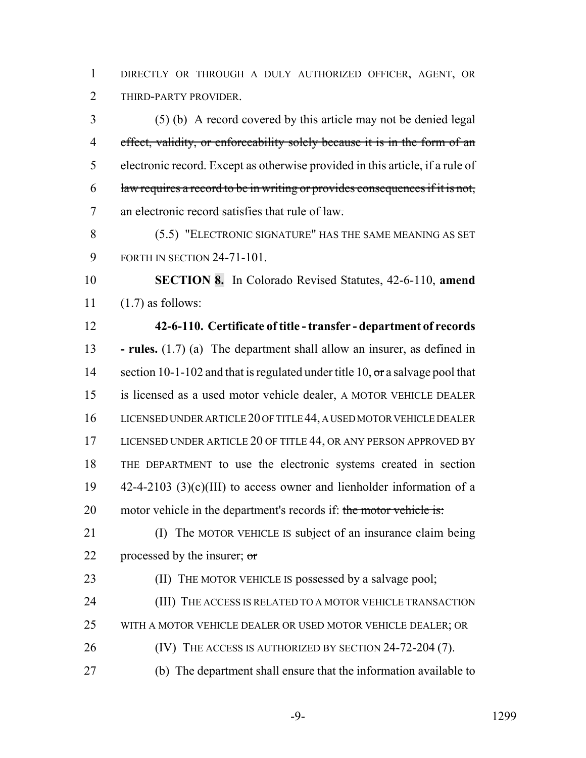DIRECTLY OR THROUGH A DULY AUTHORIZED OFFICER, AGENT, OR THIRD-PARTY PROVIDER.

 (5) (b) A record covered by this article may not be denied legal effect, validity, or enforceability solely because it is in the form of an electronic record. Except as otherwise provided in this article, if a rule of law requires a record to be in writing or provides consequences if it is not, an electronic record satisfies that rule of law.

 (5.5) "ELECTRONIC SIGNATURE" HAS THE SAME MEANING AS SET FORTH IN SECTION 24-71-101.

 **SECTION 8.** In Colorado Revised Statutes, 42-6-110, **amend** (1.7) as follows:

- **42-6-110. Certificate of title transfer department of records - rules.** (1.7) (a) The department shall allow an insurer, as defined in 14 section 10-1-102 and that is regulated under title 10, or a salvage pool that is licensed as a used motor vehicle dealer, A MOTOR VEHICLE DEALER LICENSED UNDER ARTICLE 20 OF TITLE 44, A USED MOTOR VEHICLE DEALER 17 LICENSED UNDER ARTICLE 20 OF TITLE 44, OR ANY PERSON APPROVED BY THE DEPARTMENT to use the electronic systems created in section 19  $42-4-2103$  (3)(c)(III) to access owner and lienholder information of a 20 motor vehicle in the department's records if: the motor vehicle is:
- (I) The MOTOR VEHICLE IS subject of an insurance claim being 22 processed by the insurer;  $\sigma$
- (II) THE MOTOR VEHICLE IS possessed by a salvage pool; (III) THE ACCESS IS RELATED TO A MOTOR VEHICLE TRANSACTION WITH A MOTOR VEHICLE DEALER OR USED MOTOR VEHICLE DEALER; OR (IV) THE ACCESS IS AUTHORIZED BY SECTION 24-72-204 (7).
- (b) The department shall ensure that the information available to
	-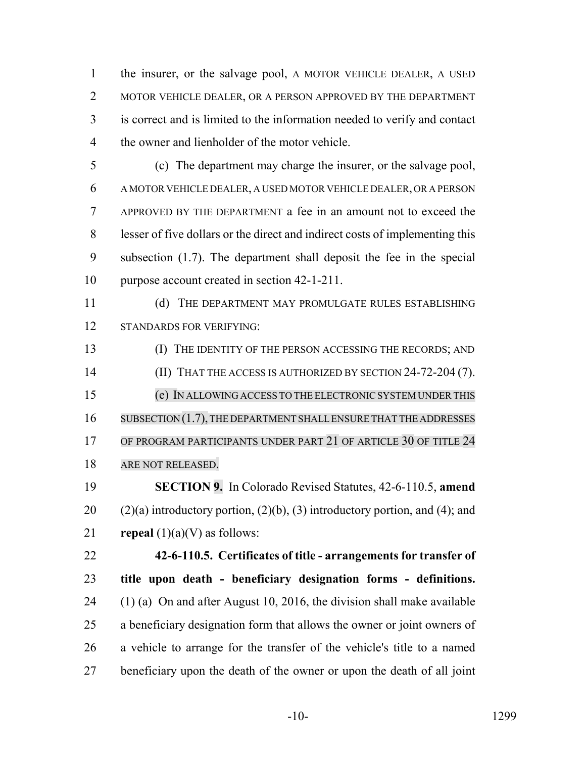the insurer, or the salvage pool, A MOTOR VEHICLE DEALER, A USED MOTOR VEHICLE DEALER, OR A PERSON APPROVED BY THE DEPARTMENT is correct and is limited to the information needed to verify and contact the owner and lienholder of the motor vehicle.

 (c) The department may charge the insurer, or the salvage pool, A MOTOR VEHICLE DEALER, A USED MOTOR VEHICLE DEALER, OR A PERSON APPROVED BY THE DEPARTMENT a fee in an amount not to exceed the lesser of five dollars or the direct and indirect costs of implementing this subsection (1.7). The department shall deposit the fee in the special purpose account created in section 42-1-211.

 (d) THE DEPARTMENT MAY PROMULGATE RULES ESTABLISHING STANDARDS FOR VERIFYING:

 (I) THE IDENTITY OF THE PERSON ACCESSING THE RECORDS; AND (II) THAT THE ACCESS IS AUTHORIZED BY SECTION 24-72-204 (7). (e) IN ALLOWING ACCESS TO THE ELECTRONIC SYSTEM UNDER THIS 16 SUBSECTION (1.7), THE DEPARTMENT SHALL ENSURE THAT THE ADDRESSES OF PROGRAM PARTICIPANTS UNDER PART 21 OF ARTICLE 30 OF TITLE 24 ARE NOT RELEASED.

 **SECTION 9.** In Colorado Revised Statutes, 42-6-110.5, **amend** 20  $(2)(a)$  introductory portion,  $(2)(b)$ ,  $(3)$  introductory portion, and  $(4)$ ; and 21 **repeal**  $(1)(a)(V)$  as follows:

 **42-6-110.5. Certificates of title - arrangements for transfer of title upon death - beneficiary designation forms - definitions.** (1) (a) On and after August 10, 2016, the division shall make available a beneficiary designation form that allows the owner or joint owners of a vehicle to arrange for the transfer of the vehicle's title to a named beneficiary upon the death of the owner or upon the death of all joint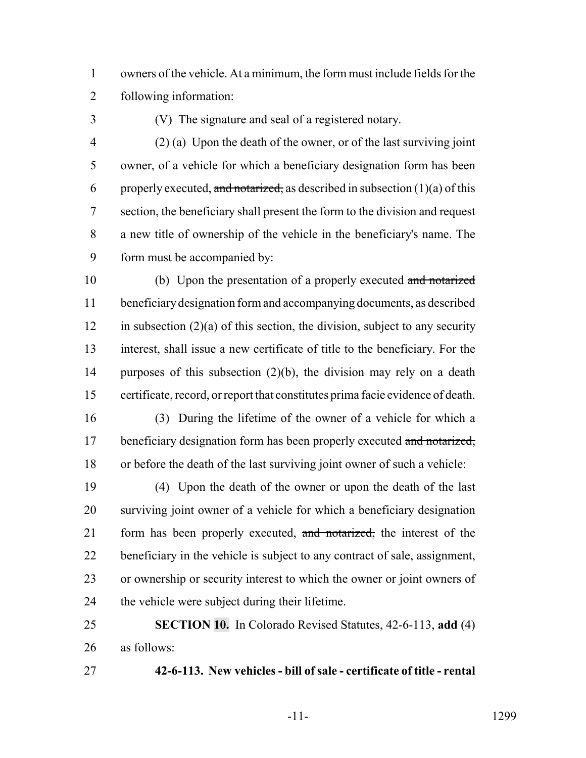owners of the vehicle. At a minimum, the form must include fields for the following information:

# (V) The signature and seal of a registered notary.

 (2) (a) Upon the death of the owner, or of the last surviving joint owner, of a vehicle for which a beneficiary designation form has been 6 properly executed, and notarized, as described in subsection  $(1)(a)$  of this section, the beneficiary shall present the form to the division and request a new title of ownership of the vehicle in the beneficiary's name. The form must be accompanied by:

 (b) Upon the presentation of a properly executed and notarized beneficiary designation form and accompanying documents, as described in subsection (2)(a) of this section, the division, subject to any security interest, shall issue a new certificate of title to the beneficiary. For the purposes of this subsection (2)(b), the division may rely on a death certificate, record, or report that constitutes prima facie evidence of death.

 (3) During the lifetime of the owner of a vehicle for which a 17 beneficiary designation form has been properly executed and notarized, or before the death of the last surviving joint owner of such a vehicle:

 (4) Upon the death of the owner or upon the death of the last surviving joint owner of a vehicle for which a beneficiary designation 21 form has been properly executed, and notarized, the interest of the beneficiary in the vehicle is subject to any contract of sale, assignment, or ownership or security interest to which the owner or joint owners of the vehicle were subject during their lifetime.

 **SECTION 10.** In Colorado Revised Statutes, 42-6-113, **add** (4) as follows:

**42-6-113. New vehicles - bill of sale - certificate of title - rental**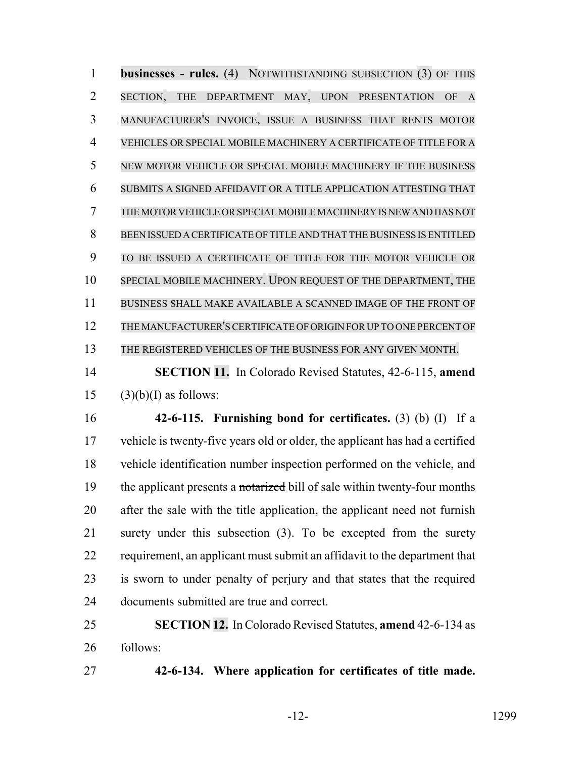**businesses - rules.** (4) NOTWITHSTANDING SUBSECTION (3) OF THIS SECTION, THE DEPARTMENT MAY, UPON PRESENTATION OF A MANUFACTURER'S INVOICE, ISSUE A BUSINESS THAT RENTS MOTOR VEHICLES OR SPECIAL MOBILE MACHINERY A CERTIFICATE OF TITLE FOR A NEW MOTOR VEHICLE OR SPECIAL MOBILE MACHINERY IF THE BUSINESS SUBMITS A SIGNED AFFIDAVIT OR A TITLE APPLICATION ATTESTING THAT THE MOTOR VEHICLE OR SPECIAL MOBILE MACHINERY IS NEW AND HAS NOT BEEN ISSUED A CERTIFICATE OF TITLE AND THAT THE BUSINESS IS ENTITLED TO BE ISSUED A CERTIFICATE OF TITLE FOR THE MOTOR VEHICLE OR SPECIAL MOBILE MACHINERY. UPON REQUEST OF THE DEPARTMENT, THE BUSINESS SHALL MAKE AVAILABLE A SCANNED IMAGE OF THE FRONT OF THE MANUFACTURER'SCERTIFICATE OFORIGIN FOR UP TO ONE PERCENT OF THE REGISTERED VEHICLES OF THE BUSINESS FOR ANY GIVEN MONTH.

 **SECTION 11.** In Colorado Revised Statutes, 42-6-115, **amend** 15  $(3)(b)(I)$  as follows:

 **42-6-115. Furnishing bond for certificates.** (3) (b) (I) If a vehicle is twenty-five years old or older, the applicant has had a certified vehicle identification number inspection performed on the vehicle, and 19 the applicant presents a notarized bill of sale within twenty-four months after the sale with the title application, the applicant need not furnish surety under this subsection (3). To be excepted from the surety requirement, an applicant must submit an affidavit to the department that is sworn to under penalty of perjury and that states that the required documents submitted are true and correct.

 **SECTION 12.** In Colorado Revised Statutes, **amend** 42-6-134 as follows:

**42-6-134. Where application for certificates of title made.**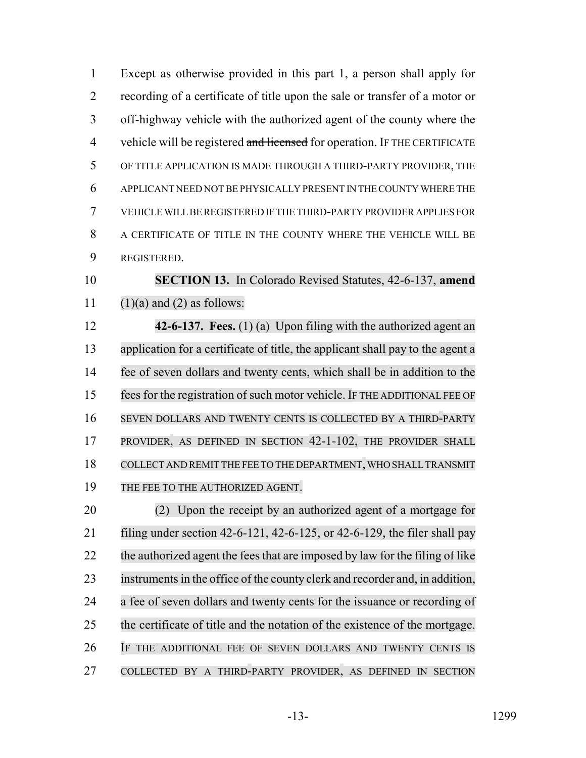Except as otherwise provided in this part 1, a person shall apply for recording of a certificate of title upon the sale or transfer of a motor or off-highway vehicle with the authorized agent of the county where the 4 vehicle will be registered and licensed for operation. IF THE CERTIFICATE OF TITLE APPLICATION IS MADE THROUGH A THIRD-PARTY PROVIDER, THE APPLICANT NEED NOT BE PHYSICALLY PRESENT IN THE COUNTY WHERE THE VEHICLE WILL BE REGISTERED IF THE THIRD-PARTY PROVIDER APPLIES FOR A CERTIFICATE OF TITLE IN THE COUNTY WHERE THE VEHICLE WILL BE REGISTERED.

# **SECTION 13.** In Colorado Revised Statutes, 42-6-137, **amend** 11  $(1)(a)$  and  $(2)$  as follows:

 **42-6-137. Fees.** (1) (a) Upon filing with the authorized agent an application for a certificate of title, the applicant shall pay to the agent a fee of seven dollars and twenty cents, which shall be in addition to the fees for the registration of such motor vehicle. IF THE ADDITIONAL FEE OF SEVEN DOLLARS AND TWENTY CENTS IS COLLECTED BY A THIRD-PARTY 17 PROVIDER, AS DEFINED IN SECTION 42-1-102, THE PROVIDER SHALL COLLECT AND REMIT THE FEE TO THE DEPARTMENT,WHO SHALLTRANSMIT THE FEE TO THE AUTHORIZED AGENT.

 (2) Upon the receipt by an authorized agent of a mortgage for filing under section 42-6-121, 42-6-125, or 42-6-129, the filer shall pay the authorized agent the feesthat are imposed by law for the filing of like 23 instruments in the office of the county clerk and recorder and, in addition, a fee of seven dollars and twenty cents for the issuance or recording of the certificate of title and the notation of the existence of the mortgage. 26 IF THE ADDITIONAL FEE OF SEVEN DOLLARS AND TWENTY CENTS IS COLLECTED BY A THIRD-PARTY PROVIDER, AS DEFINED IN SECTION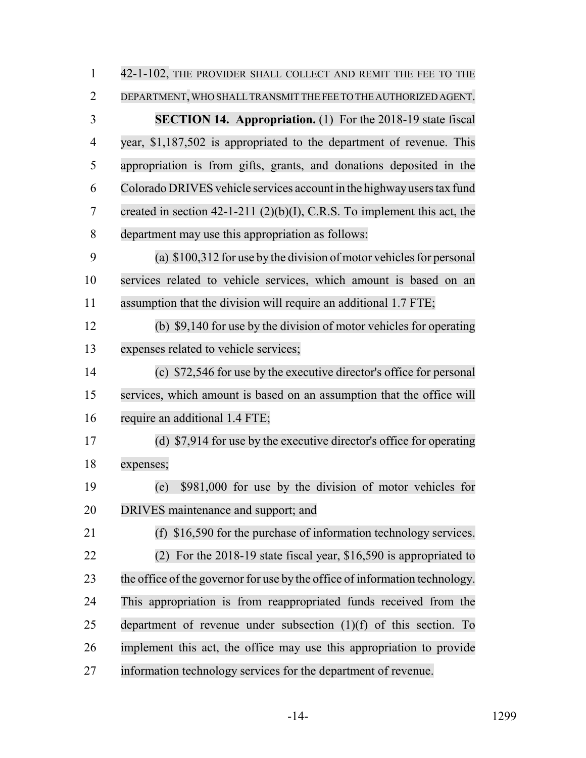| $\mathbf{1}$   | 42-1-102, THE PROVIDER SHALL COLLECT AND REMIT THE FEE TO THE               |
|----------------|-----------------------------------------------------------------------------|
| $\overline{2}$ | DEPARTMENT, WHO SHALL TRANSMIT THE FEE TO THE AUTHORIZED AGENT.             |
| 3              | <b>SECTION 14. Appropriation.</b> (1) For the 2018-19 state fiscal          |
| $\overline{4}$ | year, \$1,187,502 is appropriated to the department of revenue. This        |
| 5              | appropriation is from gifts, grants, and donations deposited in the         |
| 6              | Colorado DRIVES vehicle services account in the highway users tax fund      |
| 7              | created in section 42-1-211 (2)(b)(I), C.R.S. To implement this act, the    |
| 8              | department may use this appropriation as follows:                           |
| 9              | (a) $$100,312$ for use by the division of motor vehicles for personal       |
| 10             | services related to vehicle services, which amount is based on an           |
| 11             | assumption that the division will require an additional 1.7 FTE;            |
| 12             | (b) \$9,140 for use by the division of motor vehicles for operating         |
| 13             | expenses related to vehicle services;                                       |
| 14             | (c) \$72,546 for use by the executive director's office for personal        |
| 15             | services, which amount is based on an assumption that the office will       |
| 16             | require an additional 1.4 FTE;                                              |
| 17             | (d) \$7,914 for use by the executive director's office for operating        |
| 18             | expenses;                                                                   |
| 19             | \$981,000 for use by the division of motor vehicles for<br>(e)              |
| 20             | DRIVES maintenance and support; and                                         |
| 21             | (f) \$16,590 for the purchase of information technology services.           |
| 22             | (2) For the $2018-19$ state fiscal year, \$16,590 is appropriated to        |
| 23             | the office of the governor for use by the office of information technology. |
| 24             | This appropriation is from reappropriated funds received from the           |
| 25             | department of revenue under subsection $(1)(f)$ of this section. To         |
| 26             | implement this act, the office may use this appropriation to provide        |
| 27             | information technology services for the department of revenue.              |